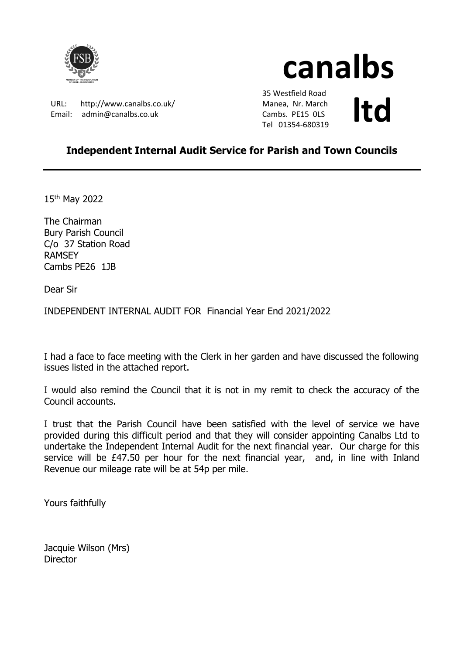

# **canalbs**

URL: http://www.canalbs.co.uk/ Email: admin@canalbs.co.uk

 35 Westfield Road Manea, Nr. March Cambs. PE15 0LS Manea, Nr. March<br>Cambs. PE15 OLS<br>Tel 01354-680319

## **Independent Internal Audit Service for Parish and Town Councils**

15th May 2022

The Chairman Bury Parish Council C/o 37 Station Road RAMSEY Cambs PE26 1JB

Dear Sir

INDEPENDENT INTERNAL AUDIT FOR Financial Year End 2021/2022

I had a face to face meeting with the Clerk in her garden and have discussed the following issues listed in the attached report.

I would also remind the Council that it is not in my remit to check the accuracy of the Council accounts.

I trust that the Parish Council have been satisfied with the level of service we have provided during this difficult period and that they will consider appointing Canalbs Ltd to undertake the Independent Internal Audit for the next financial year. Our charge for this service will be £47.50 per hour for the next financial year, and, in line with Inland Revenue our mileage rate will be at 54p per mile.

Yours faithfully

Jacquie Wilson (Mrs) **Director**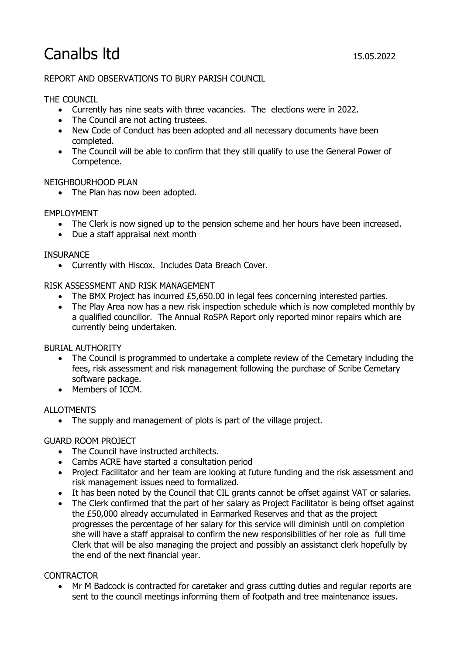# Canalbs ltd 15.05.2022

#### REPORT AND OBSERVATIONS TO BURY PARISH COUNCIL

#### THE COUNCIL

- Currently has nine seats with three vacancies. The elections were in 2022.
- The Council are not acting trustees.
- New Code of Conduct has been adopted and all necessary documents have been completed.
- The Council will be able to confirm that they still qualify to use the General Power of Competence.

#### NEIGHBOURHOOD PLAN

• The Plan has now been adopted.

#### EMPLOYMENT

- The Clerk is now signed up to the pension scheme and her hours have been increased.
- Due a staff appraisal next month

#### **INSURANCE**

• Currently with Hiscox. Includes Data Breach Cover.

#### RISK ASSESSMENT AND RISK MANAGEMENT

- The BMX Project has incurred  $£5,650.00$  in legal fees concerning interested parties.
- The Play Area now has a new risk inspection schedule which is now completed monthly by a qualified councillor. The Annual RoSPA Report only reported minor repairs which are currently being undertaken.

#### BURIAL AUTHORITY

- The Council is programmed to undertake a complete review of the Cemetary including the fees, risk assessment and risk management following the purchase of Scribe Cemetary software package.
- Members of ICCM.

#### ALLOTMENTS

• The supply and management of plots is part of the village project.

#### GUARD ROOM PROJECT

- The Council have instructed architects.
- Cambs ACRE have started a consultation period
- Project Facilitator and her team are looking at future funding and the risk assessment and risk management issues need to formalized.
- It has been noted by the Council that CIL grants cannot be offset against VAT or salaries.
- The Clerk confirmed that the part of her salary as Project Facilitator is being offset against the £50,000 already accumulated in Earmarked Reserves and that as the project progresses the percentage of her salary for this service will diminish until on completion she will have a staff appraisal to confirm the new responsibilities of her role as full time Clerk that will be also managing the project and possibly an assistanct clerk hopefully by the end of the next financial year.

#### CONTRACTOR

• Mr M Badcock is contracted for caretaker and grass cutting duties and regular reports are sent to the council meetings informing them of footpath and tree maintenance issues.